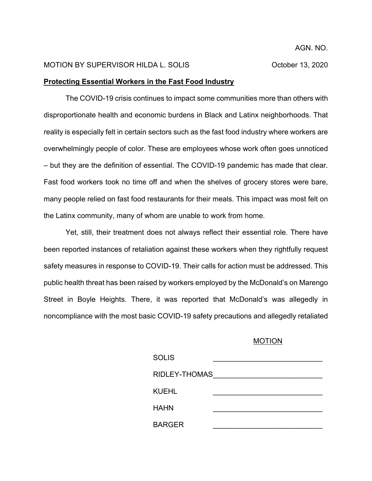## MOTION BY SUPERVISOR HILDA L. SOLIS CONSUMING CORPORATION CORPORATION OF METAL AND THE MOTION BY SUPERVISOR HILDA L. SOLIS

## **Protecting Essential Workers in the Fast Food Industry**

The COVID-19 crisis continues to impact some communities more than others with disproportionate health and economic burdens in Black and Latinx neighborhoods. That reality is especially felt in certain sectors such as the fast food industry where workers are overwhelmingly people of color. These are employees whose work often goes unnoticed – but they are the definition of essential. The COVID-19 pandemic has made that clear. Fast food workers took no time off and when the shelves of grocery stores were bare, many people relied on fast food restaurants for their meals. This impact was most felt on the Latinx community, many of whom are unable to work from home.

Yet, still, their treatment does not always reflect their essential role. There have been reported instances of retaliation against these workers when they rightfully request safety measures in response to COVID-19. Their calls for action must be addressed. This public health threat has been raised by workers employed by the McDonald's on Marengo Street in Boyle Heights. There, it was reported that McDonald's was allegedly in noncompliance with the most basic COVID-19 safety precautions and allegedly retaliated

# MOTION

| <b>SOLIS</b>  |  |
|---------------|--|
| RIDLEY-THOMAS |  |
| <b>KUEHL</b>  |  |
| <b>HAHN</b>   |  |
| <b>BARGER</b> |  |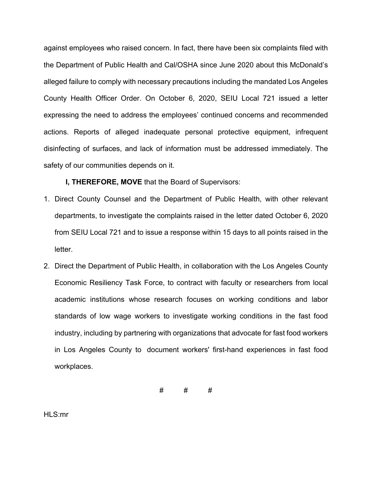against employees who raised concern. In fact, there have been six complaints filed with the Department of Public Health and Cal/OSHA since June 2020 about this McDonald's alleged failure to comply with necessary precautions including the mandated Los Angeles County Health Officer Order. On October 6, 2020, SEIU Local 721 issued a letter expressing the need to address the employees' continued concerns and recommended actions. Reports of alleged inadequate personal protective equipment, infrequent disinfecting of surfaces, and lack of information must be addressed immediately. The safety of our communities depends on it.

**I, THEREFORE, MOVE** that the Board of Supervisors:

- 1. Direct County Counsel and the Department of Public Health, with other relevant departments, to investigate the complaints raised in the letter dated October 6, 2020 from SEIU Local 721 and to issue a response within 15 days to all points raised in the letter.
- 2. Direct the Department of Public Health, in collaboration with the Los Angeles County Economic Resiliency Task Force, to contract with faculty or researchers from local academic institutions whose research focuses on working conditions and labor standards of low wage workers to investigate working conditions in the fast food industry, including by partnering with organizations that advocate for fast food workers in Los Angeles County to document workers' first-hand experiences in fast food workplaces.

# # #

HLS:mr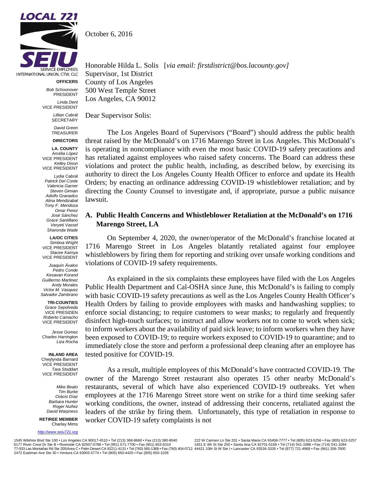

**OFFICERS**

*Bob Schoonover* PRESIDENT *Linda Dent* VICE PRESIDENT

> *Lillian Cabrál* **SECRETARY**

> > *David Green* TREASURER

#### **DIRECTORS**

**LA. COUNTY** *Arcélia López* VICE PRESIDENT *Kelley Dixon* VICE PRESIDENT

*Lydia Cabrál Patrick Del Conte Valencia Garner Steven Gimian Adolfo Granados Alina Mendizabal Tony F. Mendoza Omar Perez José Sánchez Grace Santillano Veryeti Vassel Sharonda Wade*

**LA/OC CITIES** *Simboa Wright* VICE PRESIDENT *Stacee Karnya* VICE PRESIDENT

*Joaquín Ávalos Pedro Conde Kesavan Korand Guillermo Martinez Andy Morales Victor M. Vasquez Salvador Zambrano*

**TRI-COUNTIES** *Grace Sepúlveda* VICE PRESIDEN *Roberto Camacho*  VICE PRESIDENT

*Jesse Gomez Charles Harrington Liza Rocha*

**INLAND AREA** Cheylynda Barnard VICE PRESIDENT *Tara Stoddart* VICE PRESIDENT

> *Mike Beato Tim Burke Orácio Díaz Barbara Hunter Roger Nuñez David Warpness*

**RETIREE MEMBER** Charley Mims

*[http://www.seiu721.org](http://www.seiu721.org/)*

October 6, 2016

Honorable Hilda L. Solis [*via email: firstdistrict@bos.lacounty.gov]* Supervisor, 1st District County of Los Angeles 500 West Temple Street Los Angeles, CA 90012

Dear Supervisor Solis:

The Los Angeles Board of Supervisors ("Board") should address the public health threat raised by the McDonald's on 1716 Marengo Street in Los Angeles. This McDonald's is operating in noncompliance with even the most basic COVID-19 safety precautions and has retaliated against employees who raised safety concerns. The Board can address these violations and protect the public health, including, as described below, by exercising its authority to direct the Los Angeles County Health Officer to enforce and update its Health Orders; by enacting an ordinance addressing COVID-19 whistleblower retaliation; and by directing the County Counsel to investigate and, if appropriate, pursue a public nuisance lawsuit.

# **A. Public Health Concerns and Whistleblower Retaliation at the McDonald's on 1716 Marengo Street, LA**

On September 4, 2020, the owner/operator of the McDonald's franchise located at 1716 Marengo Street in Los Angeles blatantly retaliated against four employee whistleblowers by firing them for reporting and striking over unsafe working conditions and violations of COVID-19 safety requirements.

As explained in the six complaints these employees have filed with the Los Angeles Public Health Department and Cal-OSHA since June, this McDonald's is failing to comply with basic COVID-19 safety precautions as well as the Los Angeles County Health Officer's Health Orders by failing to provide employees with masks and handwashing supplies; to enforce social distancing; to require customers to wear masks; to regularly and frequently disinfect high-touch surfaces; to instruct and allow workers not to come to work when sick; to inform workers about the availability of paid sick leave; to inform workers when they have been exposed to COVID-19; to require workers exposed to COVID-19 to quarantine; and to immediately close the store and perform a professional deep cleaning after an employee has tested positive for COVID-19.

As a result, multiple employees of this McDonald's have contracted COVID-19. The owner of the Marengo Street restaurant also operates 15 other nearby McDonald's restaurants, several of which have also experienced COVID-19 outbreaks. Yet when employees at the 1716 Marengo Street store went on strike for a third time seeking safer working conditions, the owner, instead of addressing their concerns, retaliated against the leaders of the strike by firing them. Unfortunately, this type of retaliation in response to worker COVID-19 safety complaints is not

1545 Wilshire Blvd Ste 100 • Los Angeles CA 90017-4510 • Tel (213) 368-8660 • Fax (213) 380-8040 6177 River Crest Dr Ste B • Riverside CA 92507-0786 • Tel (951) 571-7700 • Fax (951) 653-6310 77-933 Las Montañas Rd Ste 205/Area C ∙ Palm Desert CA 92211-4131 • Tel (760) 565-1368 • Fax (760) 404-0712 44421 10th St W Ste I ∙ Lancaster CA 93534-3335 • Tel (877) 721-4968 • Fax (661) 206-7800 2472 Eastman Ave Ste 30 • Ventura CA 93003-5774 • Tel (805) 650-4420 • Fax (805) 650-1028

222 W Carmen Ln Ste 201 • Santa Maria CA 93458-7777 • Tel (805) 623-5256 • Fax (805) 623-5257 1651 E 4th St Ste 250 • Santa Ana CA 92701-5169 • Tel (714) 541-1086 • Fax (714) 541-1084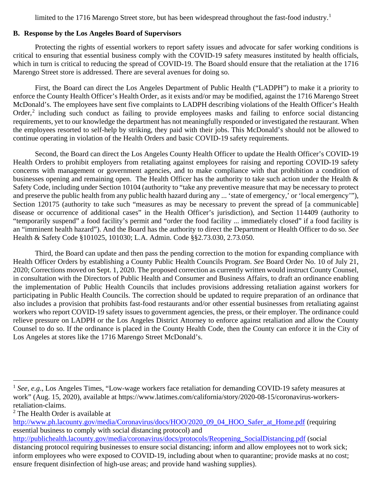limited to the [1](#page-3-0)716 Marengo Street store, but has been widespread throughout the fast-food industry.<sup>1</sup>

# **B. Response by the Los Angeles Board of Supervisors**

Protecting the rights of essential workers to report safety issues and advocate for safer working conditions is critical to ensuring that essential business comply with the COVID-19 safety measures instituted by health officials, which in turn is critical to reducing the spread of COVID-19. The Board should ensure that the retaliation at the 1716 Marengo Street store is addressed. There are several avenues for doing so.

First, the Board can direct the Los Angeles Department of Public Health ("LADPH") to make it a priority to enforce the County Health Officer's Health Order, as it exists and/or may be modified, against the 1716 Marengo Street McDonald's. The employees have sent five complaints to LADPH describing violations of the Health Officer's Health Order,<sup>[2](#page-3-1)</sup> including such conduct as failing to provide employees masks and failing to enforce social distancing requirements, yet to our knowledge the department has not meaningfully responded or investigated the restaurant. When the employees resorted to self-help by striking, they paid with their jobs. This McDonald's should not be allowed to continue operating in violation of the Health Orders and basic COVID-19 safety requirements.

Second, the Board can direct the Los Angeles County Health Officer to update the Health Officer's COVID-19 Health Orders to prohibit employers from retaliating against employees for raising and reporting COVID-19 safety concerns with management or government agencies, and to make compliance with that prohibition a condition of businesses opening and remaining open. The Health Officer has the authority to take such action under the Health & Safety Code, including under Section 10104 (authority to "take any preventive measure that may be necessary to protect and preserve the public health from any public health hazard during any ... 'state of emergency,' or 'local emergency'"), Section 120175 (authority to take such "measures as may be necessary to prevent the spread of [a communicable] disease or occurrence of additional cases" in the Health Officer's jurisdiction), and Section 114409 (authority to "temporarily suspend" a food facility's permit and "order the food facility ... immediately closed" if a food facility is an "imminent health hazard"). And the Board has the authority to direct the Department or Health Officer to do so. *See* Health & Safety Code §101025, 101030; L.A. Admin. Code §§2.73.030, 2.73.050.

Third, the Board can update and then pass the pending correction to the motion for expanding compliance with Health Officer Orders by establishing a County Public Health Councils Program. *See* Board Order No. 10 of July 21, 2020; Corrections moved on Sept. 1, 2020. The proposed correction as currently written would instruct County Counsel, in consultation with the Directors of Public Health and Consumer and Business Affairs, to draft an ordinance enabling the implementation of Public Health Councils that includes provisions addressing retaliation against workers for participating in Public Health Councils. The correction should be updated to require preparation of an ordinance that also includes a provision that prohibits fast-food restaurants and/or other essential businesses from retaliating against workers who report COVID-19 safety issues to government agencies, the press, or their employer. The ordinance could relieve pressure on LADPH or the Los Angeles District Attorney to enforce against retaliation and allow the County Counsel to do so. If the ordinance is placed in the County Health Code, then the County can enforce it in the City of Los Angeles at stores like the 1716 Marengo Street McDonald's.

<span id="page-3-0"></span><sup>&</sup>lt;sup>1</sup> *See, e.g.*, Los Angeles Times, "Low-wage workers face retaliation for demanding COVID-19 safety measures at work" (Aug. 15, 2020), available at https://www.latimes.com/california/story/2020-08-15/coronavirus-workersretaliation-claims.

<span id="page-3-1"></span><sup>&</sup>lt;sup>2</sup> The Health Order is available at

[http://www.ph.lacounty.gov/media/Coronavirus/docs/HOO/2020\\_09\\_04\\_HOO\\_Safer\\_at\\_Home.pdf](http://www.ph.lacounty.gov/media/Coronavirus/docs/HOO/2020_09_04_HOO_Safer_at_Home.pdf) (requiring essential business to comply with social distancing protocol) and

[http://publichealth.lacounty.gov/media/coronavirus/docs/protocols/Reopening\\_SocialDistancing.pdf](http://publichealth.lacounty.gov/media/coronavirus/docs/protocols/Reopening_SocialDistancing.pdf) (social distancing protocol requiring businesses to ensure social distancing; inform and allow employees not to work sick; inform employees who were exposed to COVID-19, including about when to quarantine; provide masks at no cost; ensure frequent disinfection of high-use areas; and provide hand washing supplies).